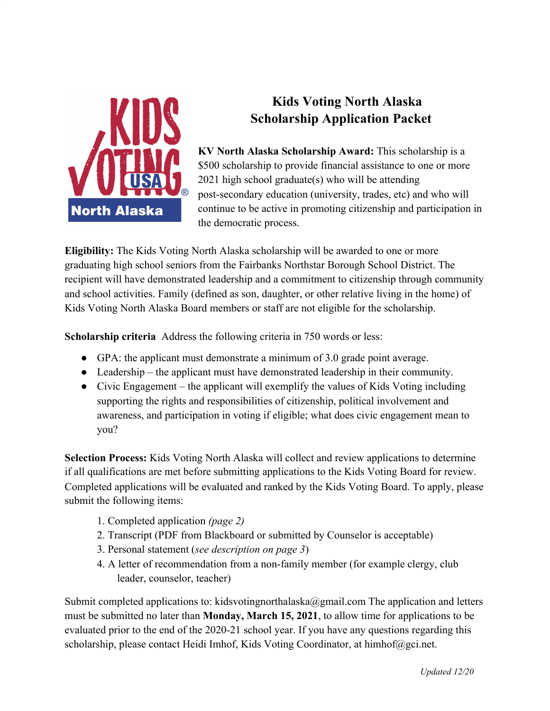

## **Kids Voting North Alaska Scholarship Application Packet**

**KV North Alaska Scholarship Award:** This scholarship is a \$500 scholarship to provide financial assistance to one or more 2021 high school graduate(s) who will be attending post-secondary education (university, trades, etc) and who will continue to be active in promoting citizenship and participation in the democratic process.

**Eligibility:** The Kids Voting North Alaska scholarship will be awarded to one or more graduating high school seniors from the Fairbanks Northstar Borough School District. The recipient will have demonstrated leadership and a commitment to citizenship through community and school activities. Family (defined as son, daughter, or other relative living in the home) of Kids Voting North Alaska Board members or staff are not eligible for the scholarship.

**Scholarship criteria** Address the following criteria in 750 words or less:

- $\bullet$  GPA: the applicant must demonstrate a minimum of 3.0 grade point average.
- Leadership the applicant must have demonstrated leadership in their community.
- Civic Engagement the applicant will exemplify the values of Kids Voting including supporting the rights and responsibilities of citizenship, political involvement and awareness, and participation in voting if eligible; what does civic engagement mean to you?

**Selection Process:** Kids Voting North Alaska will collect and review applications to determine if all qualifications are met before submitting applications to the Kids Voting Board for review. Completed applications will be evaluated and ranked by the Kids Voting Board. To apply, please submit the following items:

- 1. Completed application *(page 2)*
- 2. Transcript (PDF from Blackboard or submitted by Counselor is acceptable)
- 3. Personal statement (*see description on page 3*)
- 4. A letter of recommendation from a non-family member (for example clergy, club leader, counselor, teacher)

Submit completed applications to: kidsvoting northalaska@gmail.com The application and letters must be submitted no later than **Monday, March 15, 2021**, to allow time for applications to be evaluated prior to the end of the 2020-21 school year. If you have any questions regarding this scholarship, please contact Heidi Imhof, Kids Voting Coordinator, at himhof@gci.net.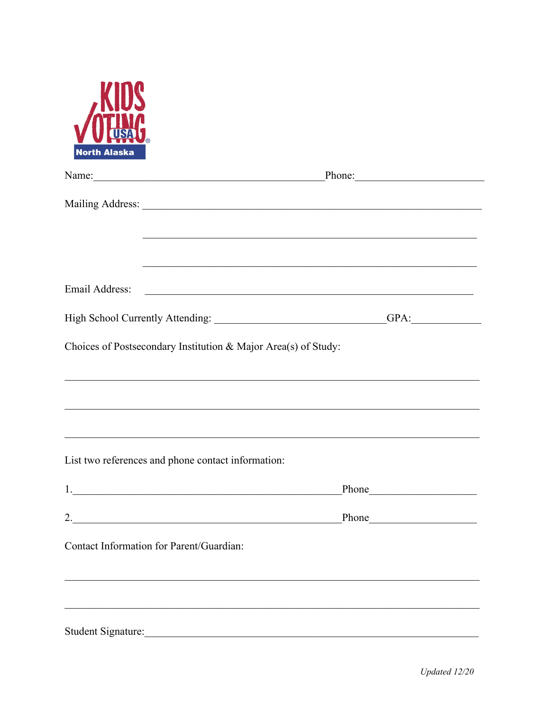

|                                                                | Name: Phone: Phone:                                                              |
|----------------------------------------------------------------|----------------------------------------------------------------------------------|
|                                                                |                                                                                  |
|                                                                |                                                                                  |
|                                                                |                                                                                  |
|                                                                |                                                                                  |
|                                                                | High School Currently Attending: Carrier Control Control of PA:                  |
| Choices of Postsecondary Institution & Major Area(s) of Study: |                                                                                  |
|                                                                | ,我们也不能在这里的时候,我们也不能在这里的时候,我们也不能在这里的时候,我们也不能会不能在这里的时候,我们也不能会不能会不能会不能会不能会不能会不能会不能会不 |
|                                                                |                                                                                  |
|                                                                |                                                                                  |
| List two references and phone contact information:             |                                                                                  |
|                                                                |                                                                                  |
|                                                                |                                                                                  |
| Contact Information for Parent/Guardian:                       |                                                                                  |
|                                                                |                                                                                  |
|                                                                |                                                                                  |
| Student Signature:                                             |                                                                                  |